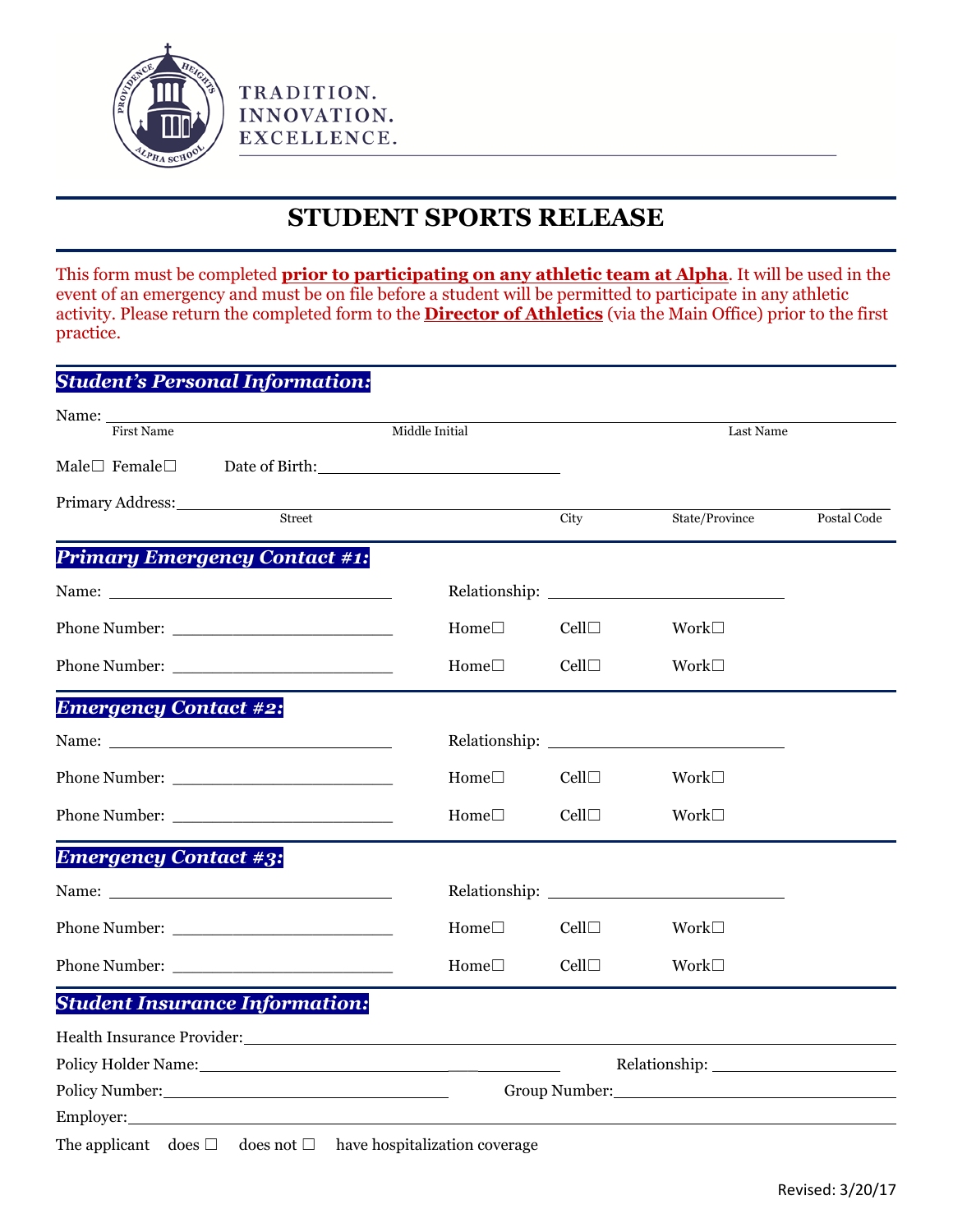

TRADITION. INNOVATION. EXCELLENCE.

## **STUDENT SPORTS RELEASE**

This form must be completed **prior to participating on any athletic team at Alpha**. It will be used in the event of an emergency and must be on file before a student will be permitted to participate in any athletic activity. Please return the completed form to the **Director of Athletics** (via the Main Office) prior to the first practice.

|                              | <b>Student's Personal Information:</b>                                                                                                                                                                                         |                                                                                                                 |      |                                                                                                                |             |
|------------------------------|--------------------------------------------------------------------------------------------------------------------------------------------------------------------------------------------------------------------------------|-----------------------------------------------------------------------------------------------------------------|------|----------------------------------------------------------------------------------------------------------------|-------------|
|                              | Name: First Name                                                                                                                                                                                                               | Middle Initial                                                                                                  |      | Last Name                                                                                                      |             |
| Male $\Box$ Female $\Box$    |                                                                                                                                                                                                                                | Date of Birth: 2000 and 2000 and 2000 and 2000 and 2000 and 2000 and 2000 and 2000 and 2000 and 2000 and 2000   |      |                                                                                                                |             |
| Primary Address:             | Street                                                                                                                                                                                                                         |                                                                                                                 | City | State/Province                                                                                                 | Postal Code |
|                              | <b>Primary Emergency Contact #1:</b>                                                                                                                                                                                           |                                                                                                                 |      |                                                                                                                |             |
|                              |                                                                                                                                                                                                                                |                                                                                                                 |      |                                                                                                                |             |
|                              |                                                                                                                                                                                                                                | $Home \Box$                                                                                                     | Cell | Work $\square$                                                                                                 |             |
|                              |                                                                                                                                                                                                                                | Home $\square$                                                                                                  | Cell | Work $\square$                                                                                                 |             |
| <b>Emergency Contact #2:</b> |                                                                                                                                                                                                                                |                                                                                                                 |      |                                                                                                                |             |
|                              |                                                                                                                                                                                                                                |                                                                                                                 |      |                                                                                                                |             |
|                              |                                                                                                                                                                                                                                | Home $\square$                                                                                                  | Cell | Work $\square$                                                                                                 |             |
|                              |                                                                                                                                                                                                                                | Home $\Box$                                                                                                     | Cell | Work $\square$                                                                                                 |             |
| <b>Emergency Contact #3:</b> |                                                                                                                                                                                                                                |                                                                                                                 |      |                                                                                                                |             |
|                              |                                                                                                                                                                                                                                |                                                                                                                 |      |                                                                                                                |             |
|                              |                                                                                                                                                                                                                                | Home $\Box$                                                                                                     | Cell | Work $\square$                                                                                                 |             |
|                              |                                                                                                                                                                                                                                | Home $\square$                                                                                                  | Cell | Work $\square$                                                                                                 |             |
|                              | <b>Student Insurance Information:</b>                                                                                                                                                                                          |                                                                                                                 |      |                                                                                                                |             |
|                              |                                                                                                                                                                                                                                |                                                                                                                 |      |                                                                                                                |             |
|                              |                                                                                                                                                                                                                                | Policy Holder Name: 1988 and 200 million and 200 million and 200 million and 200 million and 200 million and 20 |      |                                                                                                                |             |
|                              | Policy Number: National Contract of the Contract of the Contract of the Contract of the Contract of the Contract of the Contract of the Contract of the Contract of the Contract of the Contract of the Contract of the Contra |                                                                                                                 |      | Group Number: Van American Communication of the Communication of the Communication of the Communication of the |             |
| Employer:                    |                                                                                                                                                                                                                                |                                                                                                                 |      |                                                                                                                |             |

The applicant does  $\Box$  does not  $\Box$  have hospitalization coverage